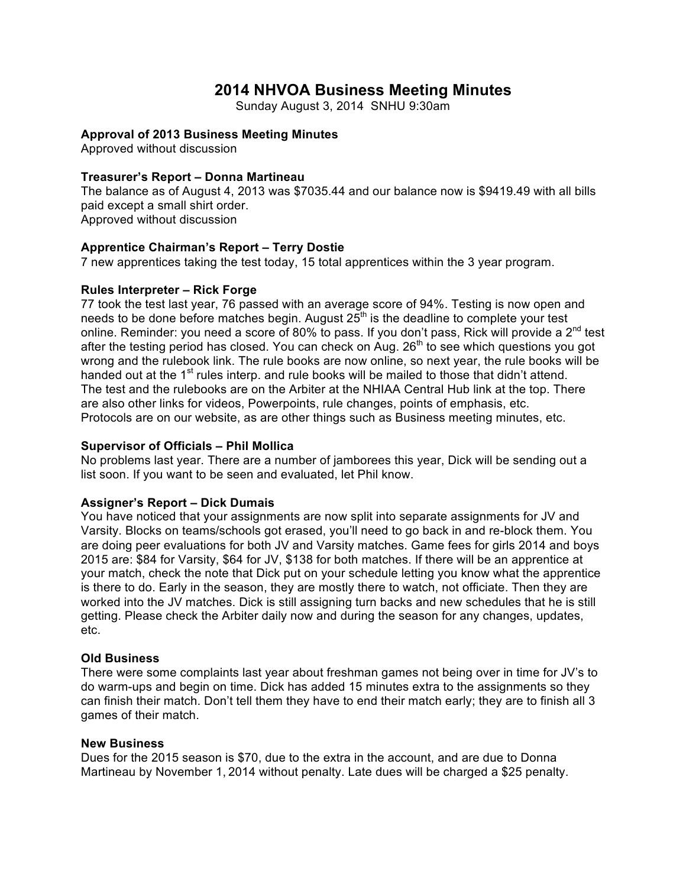# **2014 NHVOA Business Meeting Minutes**

Sunday August 3, 2014 SNHU 9:30am

# **Approval of 2013 Business Meeting Minutes**

Approved without discussion

#### **Treasurer's Report – Donna Martineau**

The balance as of August 4, 2013 was \$7035.44 and our balance now is \$9419.49 with all bills paid except a small shirt order.

Approved without discussion

## **Apprentice Chairman's Report – Terry Dostie**

7 new apprentices taking the test today, 15 total apprentices within the 3 year program.

## **Rules Interpreter – Rick Forge**

77 took the test last year, 76 passed with an average score of 94%. Testing is now open and needs to be done before matches begin. August  $25<sup>th</sup>$  is the deadline to complete your test online. Reminder: you need a score of 80% to pass. If you don't pass, Rick will provide a 2<sup>nd</sup> test after the testing period has closed. You can check on Aug.  $26<sup>th</sup>$  to see which questions you got wrong and the rulebook link. The rule books are now online, so next year, the rule books will be handed out at the 1<sup>st</sup> rules interp. and rule books will be mailed to those that didn't attend. The test and the rulebooks are on the Arbiter at the NHIAA Central Hub link at the top. There are also other links for videos, Powerpoints, rule changes, points of emphasis, etc. Protocols are on our website, as are other things such as Business meeting minutes, etc.

## **Supervisor of Officials – Phil Mollica**

No problems last year. There are a number of jamborees this year, Dick will be sending out a list soon. If you want to be seen and evaluated, let Phil know.

## **Assigner's Report – Dick Dumais**

You have noticed that your assignments are now split into separate assignments for JV and Varsity. Blocks on teams/schools got erased, you'll need to go back in and re-block them. You are doing peer evaluations for both JV and Varsity matches. Game fees for girls 2014 and boys 2015 are: \$84 for Varsity, \$64 for JV, \$138 for both matches. If there will be an apprentice at your match, check the note that Dick put on your schedule letting you know what the apprentice is there to do. Early in the season, they are mostly there to watch, not officiate. Then they are worked into the JV matches. Dick is still assigning turn backs and new schedules that he is still getting. Please check the Arbiter daily now and during the season for any changes, updates, etc.

## **Old Business**

There were some complaints last year about freshman games not being over in time for JV's to do warm-ups and begin on time. Dick has added 15 minutes extra to the assignments so they can finish their match. Don't tell them they have to end their match early; they are to finish all 3 games of their match.

#### **New Business**

Dues for the 2015 season is \$70, due to the extra in the account, and are due to Donna Martineau by November 1, 2014 without penalty. Late dues will be charged a \$25 penalty.